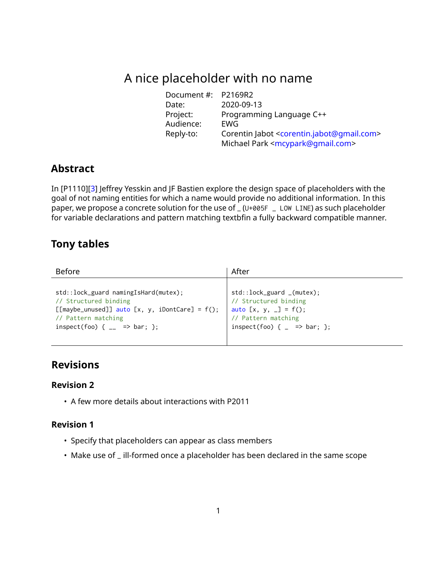# A nice placeholder with no name

| Document #: P2169R2 |                                                                      |
|---------------------|----------------------------------------------------------------------|
| Date:               | 2020-09-13                                                           |
| Project:            | Programming Language C++                                             |
| Audience:           | EWG                                                                  |
| Reply-to:           | Corentin Jabot <corentin.jabot@qmail.com></corentin.jabot@qmail.com> |
|                     | Michael Park <mcypark@qmail.com></mcypark@qmail.com>                 |

## **Abstract**

In [P1110][\[3\]](#page-6-0) Jeffrey Yesskin and JF Bastien explore the design space of placeholders with the goal of not naming entities for which a name would provide no additional information. In this paper, we propose a concrete solution for the use of \_ (U+005F \_ LOW LINE) as such placeholder for variable declarations and pattern matching textbfin a fully backward compatible manner.

# **Tony tables**

| <b>Before</b>                                     | After                                    |
|---------------------------------------------------|------------------------------------------|
| std::lock_guard namingIsHard(mutex);              | $std::lock\_guard_ (mutes);$             |
| // Structured binding                             | // Structured binding                    |
| [[maybe_unused]] auto [x, y, iDontCare] = $f()$ ; | auto $[x, y, -] = f()$ ;                 |
| // Pattern matching                               | // Pattern matching                      |
| inspect(foo) { $_{--}$ => bar; };                 | inspect(foo) { $=$ $\Rightarrow$ bar; }; |

# **Revisions**

#### **Revision 2**

• A few more details about interactions with P2011

### **Revision 1**

- Specify that placeholders can appear as class members
- Make use of \_ ill-formed once a placeholder has been declared in the same scope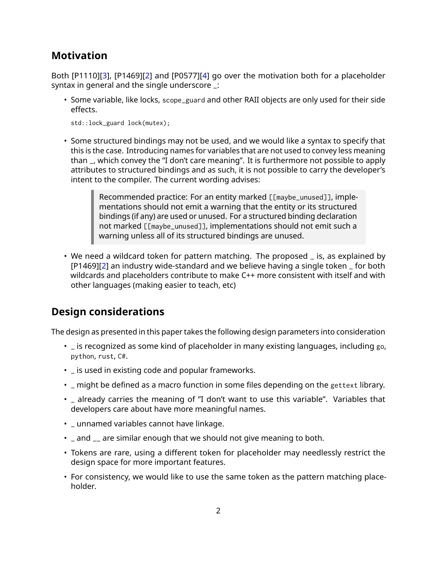# **Motivation**

Both [P1110][\[3\]](#page-6-0), [P1469][\[2\]](#page-6-1) and [P0577][\[4\]](#page-6-2) go over the motivation both for a placeholder syntax in general and the single underscore \_:

• Some variable, like locks, scope\_guard and other RAII objects are only used for their side effects.

std::lock\_guard lock(mutex);

• Some structured bindings may not be used, and we would like a syntax to specify that this is the case. Introducing names for variables that are not used to convey less meaning than \_, which convey the "I don't care meaning". It is furthermore not possible to apply attributes to structured bindings and as such, it is not possible to carry the developer's intent to the compiler. The current wording advises:

> Recommended practice: For an entity marked [[maybe\_unused]], implementations should not emit a warning that the entity or its structured bindings (if any) are used or unused. For a structured binding declaration not marked [[maybe\_unused]], implementations should not emit such a warning unless all of its structured bindings are unused.

• We need a wildcard token for pattern matching. The proposed \_ is, as explained by [P1469][\[2\]](#page-6-1) an industry wide-standard and we believe having a single token \_ for both wildcards and placeholders contribute to make C++ more consistent with itself and with other languages (making easier to teach, etc)

# **Design considerations**

The design as presented in this paper takes the following design parameters into consideration

- \_ is recognized as some kind of placeholder in many existing languages, including go, python, rust, C#.
- \_ is used in existing code and popular frameworks.
- \_ might be defined as a macro function in some files depending on the gettext library.
- \_ already carries the meaning of "I don't want to use this variable". Variables that developers care about have more meaningful names.
- \_ unnamed variables cannot have linkage.
- \_ and \_\_ are similar enough that we should not give meaning to both.
- Tokens are rare, using a different token for placeholder may needlessly restrict the design space for more important features.
- For consistency, we would like to use the same token as the pattern matching placeholder.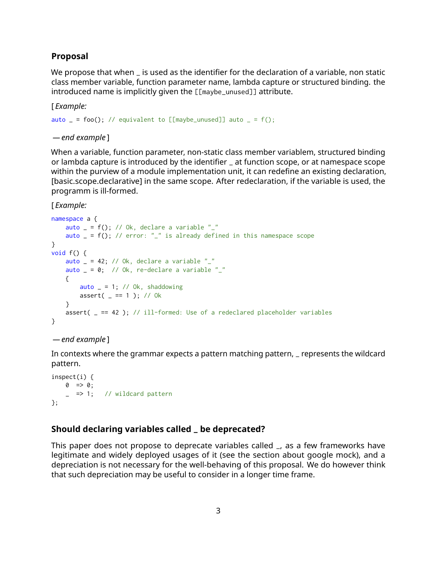#### **Proposal**

We propose that when \_ is used as the identifier for the declaration of a variable, non static class member variable, function parameter name, lambda capture or structured binding. the introduced name is implicitly given the [[maybe\_unused]] attribute.

[ *Example:*

```
auto = = foo(); // equivalent to [[maybe_unused]] auto = = f();
```
*— end example* ]

When a variable, function parameter, non-static class member variablem, structured binding or lambda capture is introduced by the identifier \_ at function scope, or at namespace scope within the purview of a module implementation unit, it can redefine an existing declaration, [basic.scope.declarative] in the same scope. After redeclaration, if the variable is used, the programm is ill-formed.

[ *Example:*

```
namespace a {
    auto _ = f(); // Ok, declare a variable "_"
    auto = f(); // error: "\overline{\ }" is already defined in this namespace scope
}
void f() {
    auto = 42; // Ok, declare a variable "\frac{1}{2}"
    auto = 0; // Ok, re-declare a variable "\cdots"
    {
        auto = 1; // Ok, shaddowing
        assert(- == 1); // 0k
    }
    assert( = == 42 ); // ill-formed: Use of a redeclared placeholder variables
}
```
#### *— end example* ]

In contexts where the grammar expects a pattern matching pattern, \_ represents the wildcard pattern.

```
inspect(i) {
   0 \implies 0;= => 1; // wildcard pattern
};
```
#### **Should declaring variables called \_ be deprecated?**

This paper does not propose to deprecate variables called \_, as a few frameworks have legitimate and widely deployed usages of it (see the section about google mock), and a depreciation is not necessary for the well-behaving of this proposal. We do however think that such depreciation may be useful to consider in a longer time frame.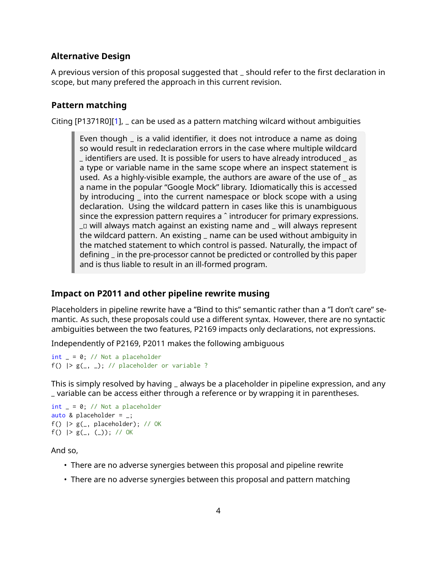### **Alternative Design**

A previous version of this proposal suggested that \_ should refer to the first declaration in scope, but many prefered the approach in this current revision.

### **Pattern matching**

Citing [P1371R0][\[1\]](#page-6-3), \_ can be used as a pattern matching wilcard without ambiguities

Even though \_ is a valid identifier, it does not introduce a name as doing so would result in redeclaration errors in the case where multiple wildcard \_ identifiers are used. It is possible for users to have already introduced \_ as a type or variable name in the same scope where an inspect statement is used. As a highly-visible example, the authors are aware of the use of \_ as a name in the popular "Google Mock" library. Idiomatically this is accessed by introducing \_ into the current namespace or block scope with a using declaration. Using the wildcard pattern in cases like this is unambiguous since the expression pattern requires a ˆ introducer for primary expressions. \_� will always match against an existing name and \_ will always represent the wildcard pattern. An existing \_ name can be used without ambiguity in the matched statement to which control is passed. Naturally, the impact of defining \_ in the pre-processor cannot be predicted or controlled by this paper and is thus liable to result in an ill-formed program.

### **Impact on P2011 and other pipeline rewrite musing**

Placeholders in pipeline rewrite have a "Bind to this" semantic rather than a "I don't care" semantic. As such, these proposals could use a different syntax. However, there are no syntactic ambiguities between the two features, P2169 impacts only declarations, not expressions.

Independently of P2169, P2011 makes the following ambiguous

 $int_{ } = 0$ ; // Not a placeholder f()  $|> g(-, -);$  // placeholder or variable ?

This is simply resolved by having \_ always be a placeholder in pipeline expression, and any \_ variable can be access either through a reference or by wrapping it in parentheses.

```
int_{-} = 0; // Not a placeholder
auto & placeholder = _{-};
f() |> g(, placeholder); // OK
f() |> g(-, (-)); // OK
```
And so,

- There are no adverse synergies between this proposal and pipeline rewrite
- There are no adverse synergies between this proposal and pattern matching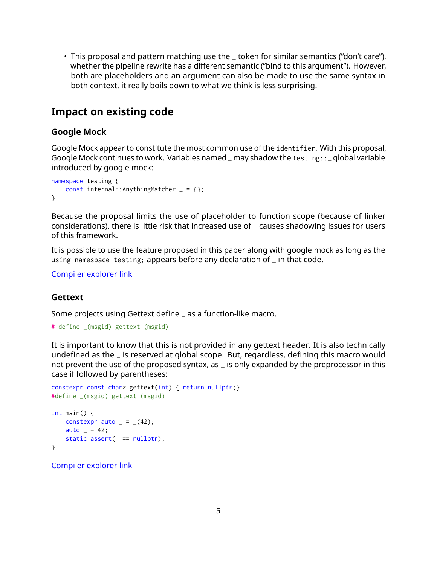• This proposal and pattern matching use the \_ token for similar semantics ("don't care"), whether the pipeline rewrite has a different semantic ("bind to this argument"). However, both are placeholders and an argument can also be made to use the same syntax in both context, it really boils down to what we think is less surprising.

## **Impact on existing code**

#### **Google Mock**

Google Mock appear to constitute the most common use of the identifier. With this proposal, Google Mock continues to work. Variables named \_ may shadow the testing::\_ global variable introduced by google mock:

```
namespace testing {
   const internal::AnythingMatcher = = {};
}
```
Because the proposal limits the use of placeholder to function scope (because of linker considerations), there is little risk that increased use of \_ causes shadowing issues for users of this framework.

It is possible to use the feature proposed in this paper along with google mock as long as the using namespace testing; appears before any declaration of \_ in that code.

[Compiler explorer link](https://godbolt.org/z/EghbHF)

#### **Gettext**

Some projects using Gettext define \_ as a function-like macro.

```
# define _(msgid) gettext (msgid)
```
It is important to know that this is not provided in any gettext header. It is also technically undefined as the \_ is reserved at global scope. But, regardless, defining this macro would not prevent the use of the proposed syntax, as \_ is only expanded by the preprocessor in this case if followed by parentheses:

```
constexpr const char* gettext(int) { return nullptr;}
#define _(msgid) gettext (msgid)
int main() {
   constexpr auto = -(42);
   auto = 42;
   static\_assert( == nullptr);}
```
[Compiler explorer link](https://godbolt.org/z/FRFg9-)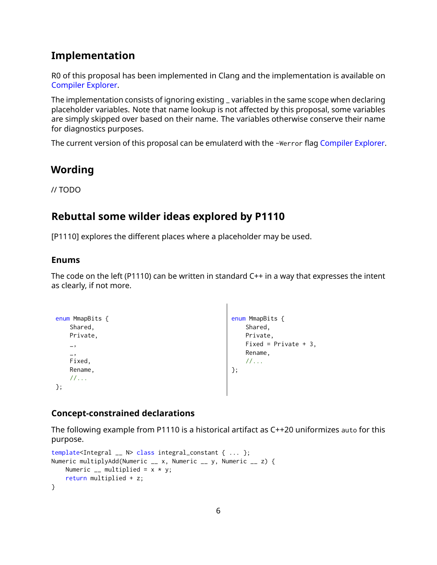# **Implementation**

R0 of this proposal has been implemented in Clang and the implementation is available on [Compiler Explorer.](https://godbolt.org/z/5lmnfN)

The implementation consists of ignoring existing \_ variables in the same scope when declaring placeholder variables. Note that name lookup is not affected by this proposal, some variables are simply skipped over based on their name. The variables otherwise conserve their name for diagnostics purposes.

The current version of this proposal can be emulaterd with the -Werror flag [Compiler Explorer.](https://godbolt.org/z/_C6X7L)

## **Wording**

// TODO

# **Rebuttal some wilder ideas explored by P1110**

[P1110] explores the different places where a placeholder may be used.

### **Enums**

The code on the left (P1110) can be written in standard C++ in a way that expresses the intent as clearly, if not more.

```
enum MmapBits {
    Shared,
    Private,
    \overline{\phantom{a}}_,
    Fixed,
    Rename,
    //...
};
                                                           enum MmapBits {
                                                               Shared,
                                                               Private,
                                                               Fixed = Private + 3,
                                                               Rename,
                                                               //...
                                                          };
```
## **Concept-constrained declarations**

The following example from P1110 is a historical artifact as C++20 uniformizes auto for this purpose.

```
template<Integral __ N> class integral_constant { ... };
Numeric multiplyAdd(Numeric __ x, Numeric __ y, Numeric __ z) {
   Numeric \Box multiplied = x * y;
    return multiplied + z;
}
```